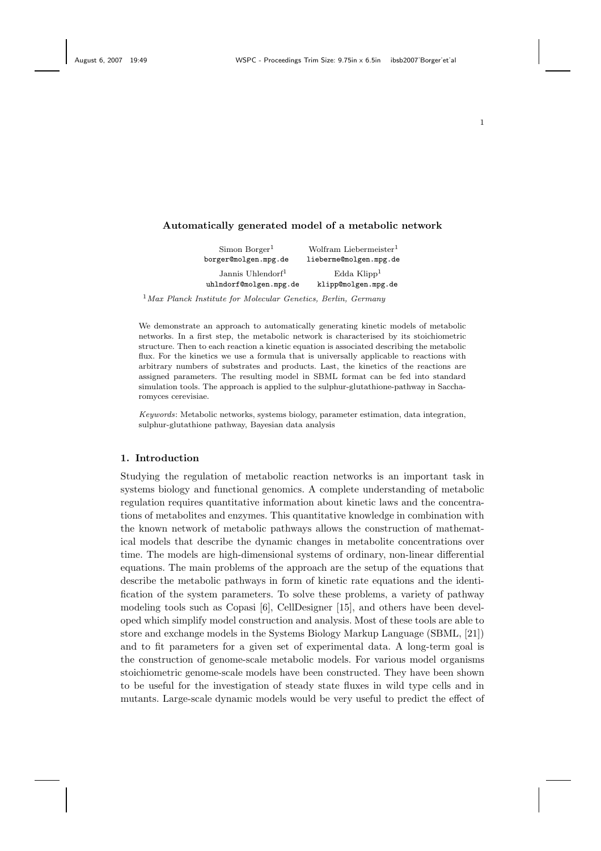| Wolfram Liebermeister <sup>1</sup> |
|------------------------------------|
| lieberme@molgen.mpg.de             |
| Edda Klipp <sup>1</sup>            |
| klipp@molgen.mpg.de                |
|                                    |

 $<sup>1</sup>$ Max Planck Institute for Molecular Genetics, Berlin, Germany</sup>

We demonstrate an approach to automatically generating kinetic models of metabolic networks. In a first step, the metabolic network is characterised by its stoichiometric structure. Then to each reaction a kinetic equation is associated describing the metabolic flux. For the kinetics we use a formula that is universally applicable to reactions with arbitrary numbers of substrates and products. Last, the kinetics of the reactions are assigned parameters. The resulting model in SBML format can be fed into standard simulation tools. The approach is applied to the sulphur-glutathione-pathway in Saccharomyces cerevisiae.

Keywords: Metabolic networks, systems biology, parameter estimation, data integration, sulphur-glutathione pathway, Bayesian data analysis

### 1. Introduction

Studying the regulation of metabolic reaction networks is an important task in systems biology and functional genomics. A complete understanding of metabolic regulation requires quantitative information about kinetic laws and the concentrations of metabolites and enzymes. This quantitative knowledge in combination with the known network of metabolic pathways allows the construction of mathematical models that describe the dynamic changes in metabolite concentrations over time. The models are high-dimensional systems of ordinary, non-linear differential equations. The main problems of the approach are the setup of the equations that describe the metabolic pathways in form of kinetic rate equations and the identification of the system parameters. To solve these problems, a variety of pathway modeling tools such as Copasi [6], CellDesigner [15], and others have been developed which simplify model construction and analysis. Most of these tools are able to store and exchange models in the Systems Biology Markup Language (SBML, [21]) and to fit parameters for a given set of experimental data. A long-term goal is the construction of genome-scale metabolic models. For various model organisms stoichiometric genome-scale models have been constructed. They have been shown to be useful for the investigation of steady state fluxes in wild type cells and in mutants. Large-scale dynamic models would be very useful to predict the effect of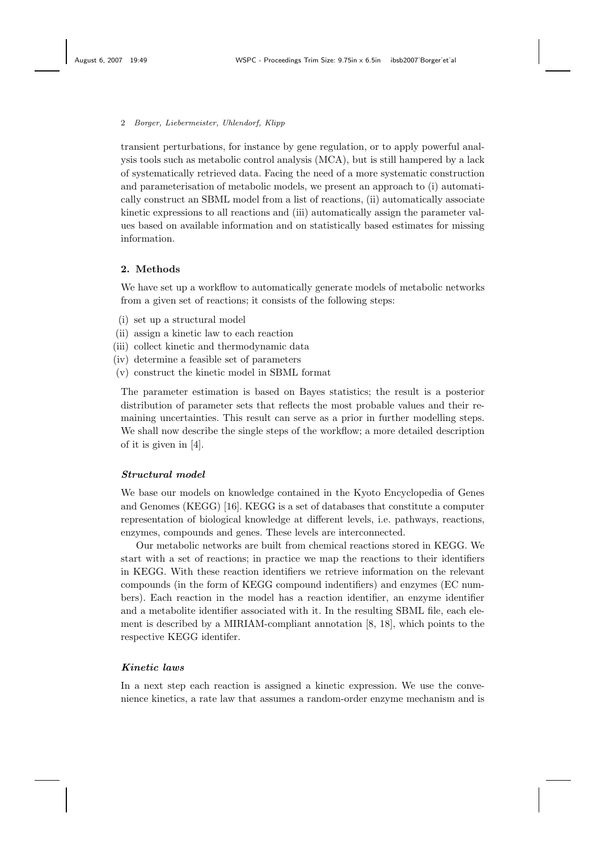transient perturbations, for instance by gene regulation, or to apply powerful analysis tools such as metabolic control analysis (MCA), but is still hampered by a lack of systematically retrieved data. Facing the need of a more systematic construction and parameterisation of metabolic models, we present an approach to (i) automatically construct an SBML model from a list of reactions, (ii) automatically associate kinetic expressions to all reactions and (iii) automatically assign the parameter values based on available information and on statistically based estimates for missing information.

### 2. Methods

We have set up a workflow to automatically generate models of metabolic networks from a given set of reactions; it consists of the following steps:

- (i) set up a structural model
- (ii) assign a kinetic law to each reaction
- (iii) collect kinetic and thermodynamic data
- (iv) determine a feasible set of parameters
- (v) construct the kinetic model in SBML format

The parameter estimation is based on Bayes statistics; the result is a posterior distribution of parameter sets that reflects the most probable values and their remaining uncertainties. This result can serve as a prior in further modelling steps. We shall now describe the single steps of the workflow; a more detailed description of it is given in [4].

## Structural model

We base our models on knowledge contained in the Kyoto Encyclopedia of Genes and Genomes (KEGG) [16]. KEGG is a set of databases that constitute a computer representation of biological knowledge at different levels, i.e. pathways, reactions, enzymes, compounds and genes. These levels are interconnected.

Our metabolic networks are built from chemical reactions stored in KEGG. We start with a set of reactions; in practice we map the reactions to their identifiers in KEGG. With these reaction identifiers we retrieve information on the relevant compounds (in the form of KEGG compound indentifiers) and enzymes (EC numbers). Each reaction in the model has a reaction identifier, an enzyme identifier and a metabolite identifier associated with it. In the resulting SBML file, each element is described by a MIRIAM-compliant annotation [8, 18], which points to the respective KEGG identifer.

# Kinetic laws

In a next step each reaction is assigned a kinetic expression. We use the convenience kinetics, a rate law that assumes a random-order enzyme mechanism and is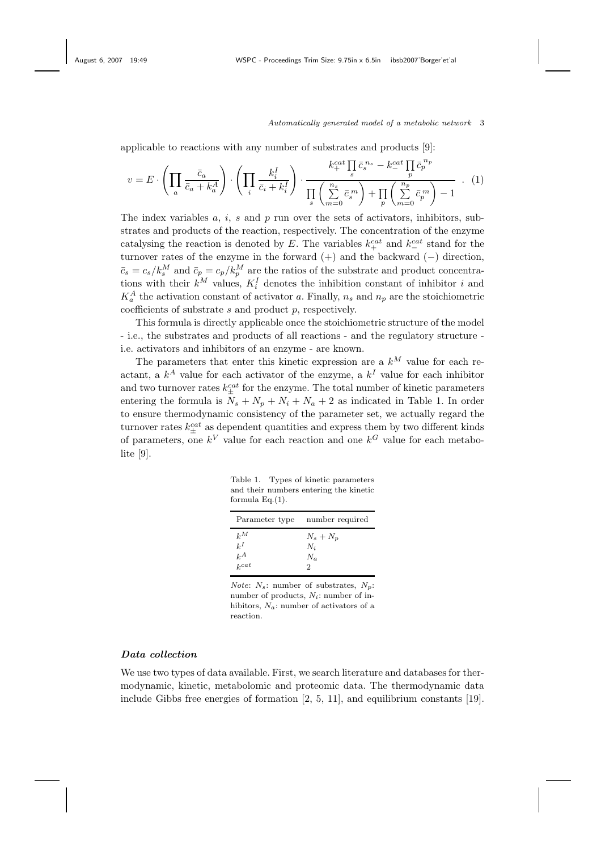applicable to reactions with any number of substrates and products [9]:

$$
v = E \cdot \left( \prod_{a} \frac{\bar{c}_a}{\bar{c}_a + k_a^A} \right) \cdot \left( \prod_i \frac{k_i^I}{\bar{c}_i + k_i^I} \right) \cdot \frac{k_+^{cat} \prod_s \bar{c}_s^{n_s} - k_-^{cat} \prod_p \bar{c}_p^{n_p}}{\prod_s \left( \sum\limits_{m=0}^{n_s} \bar{c}_s^m \right) + \prod_p \left( \sum\limits_{m=0}^{n_p} \bar{c}_p^m \right) - 1} \quad . \tag{1}
$$

The index variables  $a, i, s$  and  $p$  run over the sets of activators, inhibitors, substrates and products of the reaction, respectively. The concentration of the enzyme catalysing the reaction is denoted by E. The variables  $k_{+}^{cat}$  and  $k_{-}^{cat}$  stand for the turnover rates of the enzyme in the forward (+) and the backward (−) direction,  $\bar{c}_s = c_s / k_s^M$  and  $\bar{c}_p = c_p / k_p^M$  are the ratios of the substrate and product concentrations with their  $k^M$  values,  $K_i^I$  denotes the inhibition constant of inhibitor i and  $K_a^A$  the activation constant of activator a. Finally,  $n_s$  and  $n_p$  are the stoichiometric coefficients of substrate  $s$  and product  $p$ , respectively.

This formula is directly applicable once the stoichiometric structure of the model - i.e., the substrates and products of all reactions - and the regulatory structure i.e. activators and inhibitors of an enzyme - are known.

The parameters that enter this kinetic expression are a  $k^M$  value for each reactant, a  $k^A$  value for each activator of the enzyme, a  $k^I$  value for each inhibitor and two turnover rates  $k_{\pm}^{cat}$  for the enzyme. The total number of kinetic parameters entering the formula is  $N_s + N_p + N_i + N_a + 2$  as indicated in Table 1. In order to ensure thermodynamic consistency of the parameter set, we actually regard the turnover rates  $k_{\pm}^{cat}$  as dependent quantities and express them by two different kinds of parameters, one  $k^V$  value for each reaction and one  $k^G$  value for each metabolite [9].

Table 1. Types of kinetic parameters and their numbers entering the kinetic formula Eq.(1).

| Parameter type                       | number required                    |
|--------------------------------------|------------------------------------|
| $k^M$<br>$k^{I}$<br>$k^A$<br>$k$ cat | $N_s + N_p$<br>$N_i$<br>$N_a$<br>2 |
|                                      |                                    |

*Note:*  $N_s$ : number of substrates,  $N_p$ : number of products,  $N_i$ : number of inhibitors,  $N_a$ : number of activators of a reaction.

### Data collection

We use two types of data available. First, we search literature and databases for thermodynamic, kinetic, metabolomic and proteomic data. The thermodynamic data include Gibbs free energies of formation [2, 5, 11], and equilibrium constants [19].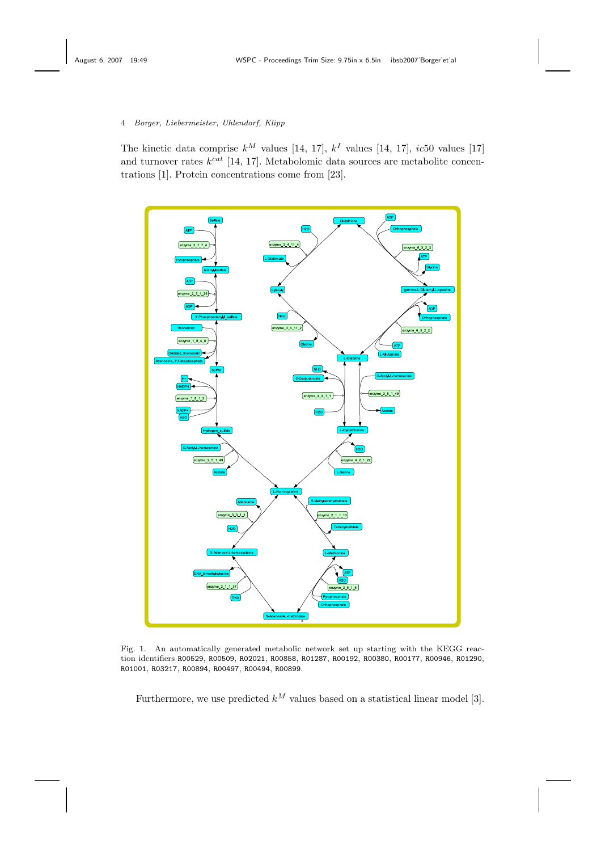The kinetic data comprise  $k^M$  values [14, 17],  $k^I$  values [14, 17], *ic*50 values [17] and turnover rates  $k^{cat}$  [14, 17]. Metabolomic data sources are metabolite concentrations [1]. Protein concentrations come from [23].



Fig. 1. An automatically generated metabolic network set up starting with the KEGG reaction identifiers R00529, R00509, R02021, R00858, R01287, R00192, R00380, R00177, R00946, R01290, R01001, R03217, R00894, R00497, R00494, R00899.

Furthermore, we use predicted  $k^M$  values based on a statistical linear model [3].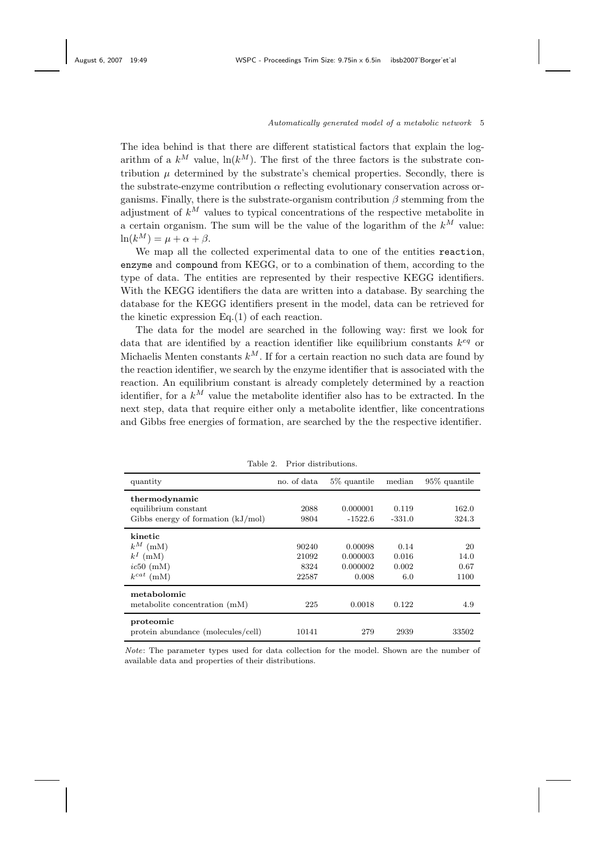The idea behind is that there are different statistical factors that explain the logarithm of a  $k^M$  value,  $\ln(k^M)$ . The first of the three factors is the substrate contribution  $\mu$  determined by the substrate's chemical properties. Secondly, there is the substrate-enzyme contribution  $\alpha$  reflecting evolutionary conservation across organisms. Finally, there is the substrate-organism contribution  $\beta$  stemming from the adjustment of  $k^M$  values to typical concentrations of the respective metabolite in a certain organism. The sum will be the value of the logarithm of the  $k^M$  value:  $\ln(k^M) = \mu + \alpha + \beta.$ 

We map all the collected experimental data to one of the entities reaction, enzyme and compound from KEGG, or to a combination of them, according to the type of data. The entities are represented by their respective KEGG identifiers. With the KEGG identifiers the data are written into a database. By searching the database for the KEGG identifiers present in the model, data can be retrieved for the kinetic expression Eq.(1) of each reaction.

The data for the model are searched in the following way: first we look for data that are identified by a reaction identifier like equilibrium constants  $k^{eq}$  or Michaelis Menten constants  $k^M$ . If for a certain reaction no such data are found by the reaction identifier, we search by the enzyme identifier that is associated with the reaction. An equilibrium constant is already completely determined by a reaction identifier, for a  $k^M$  value the metabolite identifier also has to be extracted. In the next step, data that require either only a metabolite identfier, like concentrations and Gibbs free energies of formation, are searched by the the respective identifier.

| quantity                                                                      | no. of data                     | 5\% quantile                             | median                        | 95\% quantile              |
|-------------------------------------------------------------------------------|---------------------------------|------------------------------------------|-------------------------------|----------------------------|
| thermodynamic<br>equilibrium constant<br>Gibbs energy of formation $(kJ/mol)$ | 2088<br>9804                    | 0.000001<br>$-1522.6$                    | 0.119<br>$-331.0$             | 162.0<br>324.3             |
| kinetic<br>$k^M$ (mM)<br>$k^I$ (mM)<br>ic50~(mM)<br>$k^{cat}$<br>(mM)         | 90240<br>21092<br>8324<br>22587 | 0.00098<br>0.000003<br>0.000002<br>0.008 | 0.14<br>0.016<br>0.002<br>6.0 | 20<br>14.0<br>0.67<br>1100 |
| metabolomic<br>metabolite concentration (mM)                                  | 225                             | 0.0018                                   | 0.122                         | 4.9                        |
| proteomic<br>protein abundance (molecules/cell)                               | 10141                           | 279                                      | 2939                          | 33502                      |

Table 2. Prior distributions.

Note: The parameter types used for data collection for the model. Shown are the number of available data and properties of their distributions.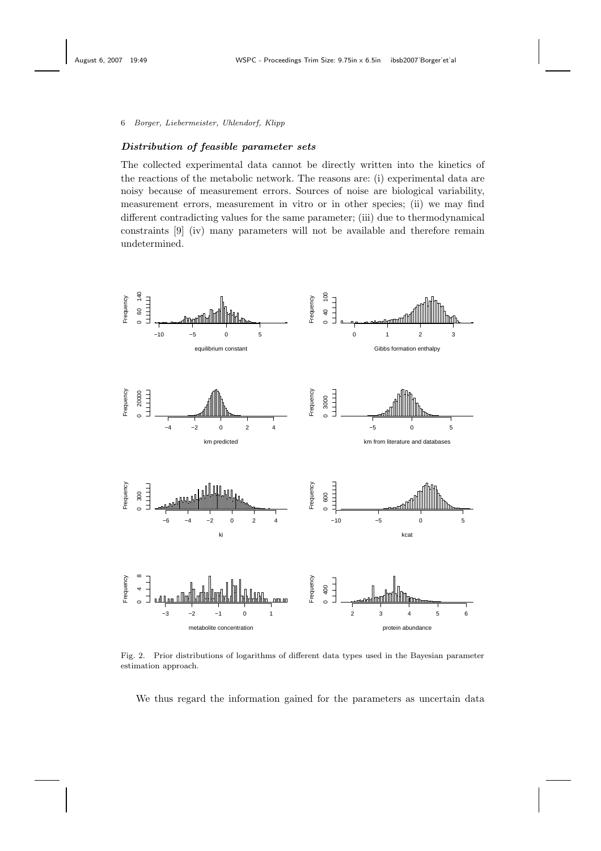### Distribution of feasible parameter sets

The collected experimental data cannot be directly written into the kinetics of the reactions of the metabolic network. The reasons are: (i) experimental data are noisy because of measurement errors. Sources of noise are biological variability, measurement errors, measurement in vitro or in other species; (ii) we may find different contradicting values for the same parameter; (iii) due to thermodynamical constraints [9] (iv) many parameters will not be available and therefore remain undetermined.



Fig. 2. Prior distributions of logarithms of different data types used in the Bayesian parameter estimation approach.

We thus regard the information gained for the parameters as uncertain data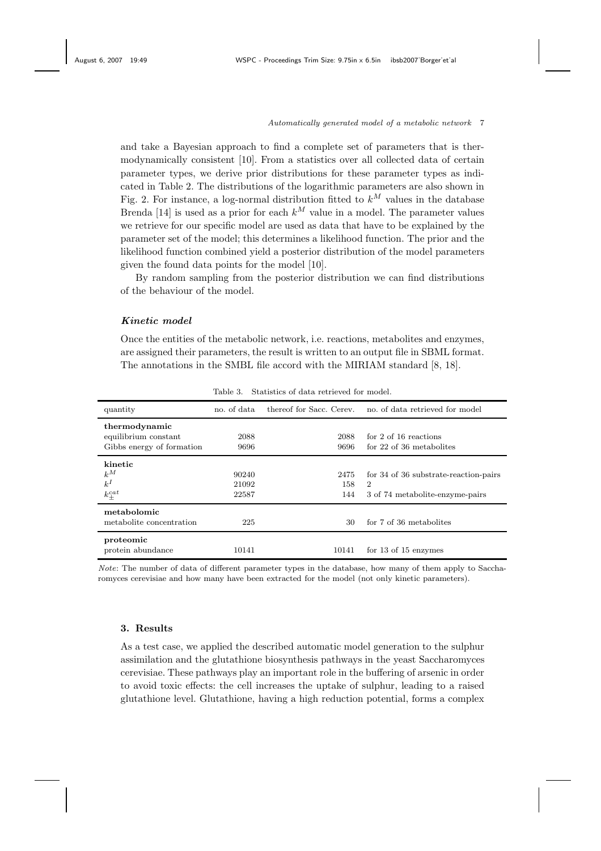and take a Bayesian approach to find a complete set of parameters that is thermodynamically consistent [10]. From a statistics over all collected data of certain parameter types, we derive prior distributions for these parameter types as indicated in Table 2. The distributions of the logarithmic parameters are also shown in Fig. 2. For instance, a log-normal distribution fitted to  $k^M$  values in the database Brenda [14] is used as a prior for each  $k^M$  value in a model. The parameter values we retrieve for our specific model are used as data that have to be explained by the parameter set of the model; this determines a likelihood function. The prior and the likelihood function combined yield a posterior distribution of the model parameters given the found data points for the model [10].

By random sampling from the posterior distribution we can find distributions of the behaviour of the model.

## Kinetic model

Once the entities of the metabolic network, i.e. reactions, metabolites and enzymes, are assigned their parameters, the result is written to an output file in SBML format. The annotations in the SMBL file accord with the MIRIAM standard [8, 18].

| quantity                  | no. of data | thereof for Sacc. Cerey. | no, of data retrieved for model       |
|---------------------------|-------------|--------------------------|---------------------------------------|
| thermodynamic             |             |                          |                                       |
| equilibrium constant      | 2088        | 2088                     | for 2 of 16 reactions                 |
| Gibbs energy of formation | 9696        | 9696                     | for 22 of 36 metabolites              |
| kinetic                   |             |                          |                                       |
| $k^M$                     | 90240       | 2475                     | for 34 of 36 substrate-reaction-pairs |
| $k^I$                     | 21092       | 158                      | $\overline{2}$                        |
| $k_{\pm}^{cat}$           | 22587       | 144                      | 3 of 74 metabolite-enzyme-pairs       |
| metabolomic               |             |                          |                                       |
| metabolite concentration  | 225         | 30                       | for 7 of 36 metabolites               |
| proteomic                 |             |                          |                                       |
| protein abundance         | 10141       | 10141                    | for $13$ of $15$ enzymes              |

Table 3. Statistics of data retrieved for model.

Note: The number of data of different parameter types in the database, how many of them apply to Saccharomyces cerevisiae and how many have been extracted for the model (not only kinetic parameters).

### 3. Results

As a test case, we applied the described automatic model generation to the sulphur assimilation and the glutathione biosynthesis pathways in the yeast Saccharomyces cerevisiae. These pathways play an important role in the buffering of arsenic in order to avoid toxic effects: the cell increases the uptake of sulphur, leading to a raised glutathione level. Glutathione, having a high reduction potential, forms a complex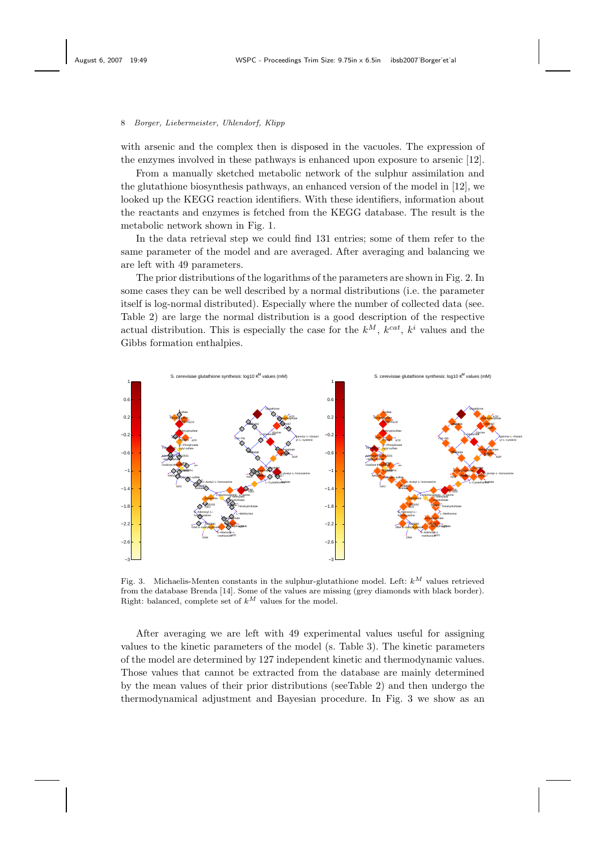with arsenic and the complex then is disposed in the vacuoles. The expression of the enzymes involved in these pathways is enhanced upon exposure to arsenic [12].

From a manually sketched metabolic network of the sulphur assimilation and the glutathione biosynthesis pathways, an enhanced version of the model in [12], we looked up the KEGG reaction identifiers. With these identifiers, information about the reactants and enzymes is fetched from the KEGG database. The result is the metabolic network shown in Fig. 1.

In the data retrieval step we could find 131 entries; some of them refer to the same parameter of the model and are averaged. After averaging and balancing we are left with 49 parameters.

The prior distributions of the logarithms of the parameters are shown in Fig. 2. In some cases they can be well described by a normal distributions (i.e. the parameter itself is log-normal distributed). Especially where the number of collected data (see. Table 2) are large the normal distribution is a good description of the respective actual distribution. This is especially the case for the  $k^M$ ,  $k^{cat}$ ,  $k^i$  values and the Gibbs formation enthalpies.



Fig. 3. Michaelis-Menten constants in the sulphur-glutathione model. Left:  $k^M$  values retrieved from the database Brenda [14]. Some of the values are missing (grey diamonds with black border). Right: balanced, complete set of  $k^M$  values for the model.

After averaging we are left with 49 experimental values useful for assigning values to the kinetic parameters of the model (s. Table 3). The kinetic parameters of the model are determined by 127 independent kinetic and thermodynamic values. Those values that cannot be extracted from the database are mainly determined by the mean values of their prior distributions (seeTable 2) and then undergo the thermodynamical adjustment and Bayesian procedure. In Fig. 3 we show as an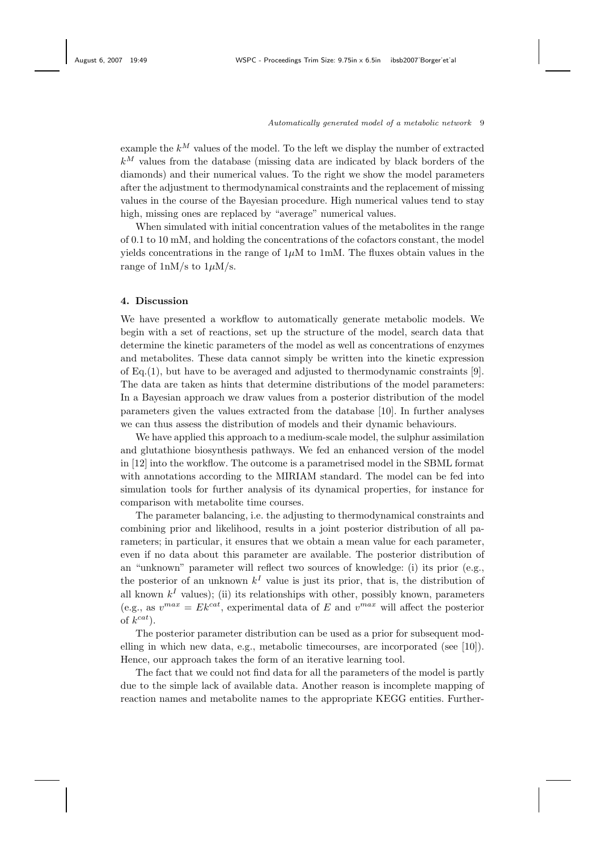example the  $k^M$  values of the model. To the left we display the number of extracted  $k^M$  values from the database (missing data are indicated by black borders of the diamonds) and their numerical values. To the right we show the model parameters after the adjustment to thermodynamical constraints and the replacement of missing values in the course of the Bayesian procedure. High numerical values tend to stay high, missing ones are replaced by "average" numerical values.

When simulated with initial concentration values of the metabolites in the range of 0.1 to 10 mM, and holding the concentrations of the cofactors constant, the model yields concentrations in the range of  $1\mu$ M to 1mM. The fluxes obtain values in the range of  $1 \text{nM/s}$  to  $1 \mu \text{M/s}$ .

### 4. Discussion

We have presented a workflow to automatically generate metabolic models. We begin with a set of reactions, set up the structure of the model, search data that determine the kinetic parameters of the model as well as concentrations of enzymes and metabolites. These data cannot simply be written into the kinetic expression of Eq.(1), but have to be averaged and adjusted to thermodynamic constraints  $[9]$ . The data are taken as hints that determine distributions of the model parameters: In a Bayesian approach we draw values from a posterior distribution of the model parameters given the values extracted from the database [10]. In further analyses we can thus assess the distribution of models and their dynamic behaviours.

We have applied this approach to a medium-scale model, the sulphur assimilation and glutathione biosynthesis pathways. We fed an enhanced version of the model in [12] into the workflow. The outcome is a parametrised model in the SBML format with annotations according to the MIRIAM standard. The model can be fed into simulation tools for further analysis of its dynamical properties, for instance for comparison with metabolite time courses.

The parameter balancing, i.e. the adjusting to thermodynamical constraints and combining prior and likelihood, results in a joint posterior distribution of all parameters; in particular, it ensures that we obtain a mean value for each parameter, even if no data about this parameter are available. The posterior distribution of an "unknown" parameter will reflect two sources of knowledge: (i) its prior (e.g., the posterior of an unknown  $k<sup>I</sup>$  value is just its prior, that is, the distribution of all known  $k<sup>I</sup>$  values); (ii) its relationships with other, possibly known, parameters (e.g., as  $v^{max} = E k^{cat}$ , experimental data of E and  $v^{max}$  will affect the posterior of  $k^{cat}$ ).

The posterior parameter distribution can be used as a prior for subsequent modelling in which new data, e.g., metabolic timecourses, are incorporated (see [10]). Hence, our approach takes the form of an iterative learning tool.

The fact that we could not find data for all the parameters of the model is partly due to the simple lack of available data. Another reason is incomplete mapping of reaction names and metabolite names to the appropriate KEGG entities. Further-